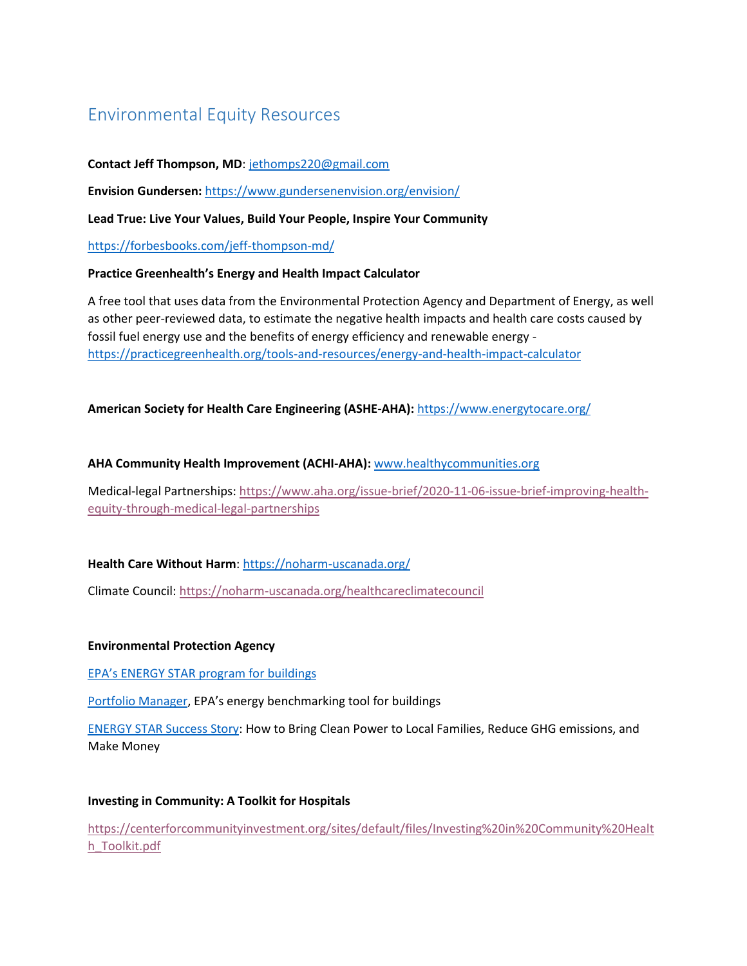# Environmental Equity Resources

# **Contact Jeff Thompson, MD**: [jethomps220@gmail.com](mailto:jethomps220@gmail.com)

**Envision Gundersen:** <https://www.gundersenenvision.org/envision/>

## **Lead True: Live Your Values, Build Your People, Inspire Your Community**

<https://forbesbooks.com/jeff-thompson-md/>

#### **Practice Greenhealth's Energy and Health Impact Calculator**

A free tool that uses data from the Environmental Protection Agency and Department of Energy, as well as other peer-reviewed data, to estimate the negative health impacts and health care costs caused by fossil fuel energy use and the benefits of energy efficiency and renewable energy [https://practicegreenhealth.org/tools-and-resources/energy-and-health-impact-calculator](https://nam11.safelinks.protection.outlook.com/?url=https%3A%2F%2Fpracticegreenhealth.org%2Ftools-and-resources%2Fenergy-and-health-impact-calculator&data=04%7C01%7Cahofmann%40aha.org%7C4664389dfad6480f699a08d9b9bb6577%7Cb9119340beb74e5e84b23cc18f7b36a6%7C0%7C1%7C637745036788385171%7CUnknown%7CTWFpbGZsb3d8eyJWIjoiMC4wLjAwMDAiLCJQIjoiV2luMzIiLCJBTiI6Ik1haWwiLCJXVCI6Mn0%3D%7C3000&sdata=efCNXz4YodZkvTSDp8MHqPUJ5Uo6FfCOukN1wnQhPw0%3D&reserved=0)

## **American Society for Health Care Engineering (ASHE-AHA):** <https://www.energytocare.org/>

## **AHA Community Health Improvement (ACHI-AHA):** [www.healthycommunities.org](http://www.healthycommunities.org/)

Medical-legal Partnerships: [https://www.aha.org/issue-brief/2020-11-06-issue-brief-improving-health](https://www.aha.org/issue-brief/2020-11-06-issue-brief-improving-health-equity-through-medical-legal-partnerships)[equity-through-medical-legal-partnerships](https://www.aha.org/issue-brief/2020-11-06-issue-brief-improving-health-equity-through-medical-legal-partnerships)

## **Health Care Without Harm**: [https://noharm-uscanada.org/](https://nam11.safelinks.protection.outlook.com/?url=https%3A%2F%2Fnoharm-uscanada.org%2F&data=04%7C01%7Cahofmann%40aha.org%7C4664389dfad6480f699a08d9b9bb6577%7Cb9119340beb74e5e84b23cc18f7b36a6%7C0%7C1%7C637745036788541417%7CUnknown%7CTWFpbGZsb3d8eyJWIjoiMC4wLjAwMDAiLCJQIjoiV2luMzIiLCJBTiI6Ik1haWwiLCJXVCI6Mn0%3D%7C3000&sdata=IkM2enrzxdp64b7CyATrNDL0ND5qoPNPG%2BmOin3V4jc%3D&reserved=0)

Climate Council: <https://noharm-uscanada.org/healthcareclimatecouncil>

#### **Environmental Protection Agency**

[EPA's ENERGY STAR program for](https://nam11.safelinks.protection.outlook.com/?url=https%3A%2F%2Fwww.energystar.gov%2Fbuildings%2Ftools-and-resources%2Fwhat_energy_star_buildings_presentation&data=04%7C01%7Cahofmann%40aha.org%7Cfc14a564a71546203ddf08d9b9d1e368%7Cb9119340beb74e5e84b23cc18f7b36a6%7C0%7C1%7C637745133377359002%7CUnknown%7CTWFpbGZsb3d8eyJWIjoiMC4wLjAwMDAiLCJQIjoiV2luMzIiLCJBTiI6Ik1haWwiLCJXVCI6Mn0%3D%7C3000&sdata=P2s1iYPAIDovLL3qJH7ELGzL7yniCa4sMMJN4mgl%2FFg%3D&reserved=0) buildings

[Portfolio Manager](https://nam11.safelinks.protection.outlook.com/?url=https%3A%2F%2Fwww.energystar.gov%2Fsites%2Fdefault%2Ffiles%2Ftools%2FAn%2520Overview%2520of%2520Portfolio%2520Manager_May%25202021_FINAL.pdf&data=04%7C01%7Cahofmann%40aha.org%7Cfc14a564a71546203ddf08d9b9d1e368%7Cb9119340beb74e5e84b23cc18f7b36a6%7C0%7C1%7C637745133377359002%7CUnknown%7CTWFpbGZsb3d8eyJWIjoiMC4wLjAwMDAiLCJQIjoiV2luMzIiLCJBTiI6Ik1haWwiLCJXVCI6Mn0%3D%7C3000&sdata=%2FMNp347rgaBrZUrCbTT%2Bh31n%2BHa8nthTBPW0Ga3sMdU%3D&reserved=0), EPA's energy benchmarking tool for buildings

[ENERGY STAR Success Story:](https://nam11.safelinks.protection.outlook.com/?url=https%3A%2F%2Fwww.energystar.gov%2Fsites%2Fdefault%2Ffiles%2Ftools%2FENERGY%2520STAR_Duke_Realty_Community_Solar_Case_Study.pdf&data=04%7C01%7Cahofmann%40aha.org%7Cfc14a564a71546203ddf08d9b9d1e368%7Cb9119340beb74e5e84b23cc18f7b36a6%7C0%7C1%7C637745133377359002%7CUnknown%7CTWFpbGZsb3d8eyJWIjoiMC4wLjAwMDAiLCJQIjoiV2luMzIiLCJBTiI6Ik1haWwiLCJXVCI6Mn0%3D%7C3000&sdata=vQ42mLB6izwOT180%2BFOCs%2FyTpo2nQlH4xRSfBM%2BcMHo%3D&reserved=0) How to Bring Clean Power to Local Families, Reduce GHG emissions, and Make Money

## **Investing in Community: A Toolkit for Hospitals**

[https://centerforcommunityinvestment.org/sites/default/files/Investing%20in%20Community%20Healt](https://centerforcommunityinvestment.org/sites/default/files/Investing%20in%20Community%20Health_Toolkit.pdf) [h\\_Toolkit.pdf](https://centerforcommunityinvestment.org/sites/default/files/Investing%20in%20Community%20Health_Toolkit.pdf)